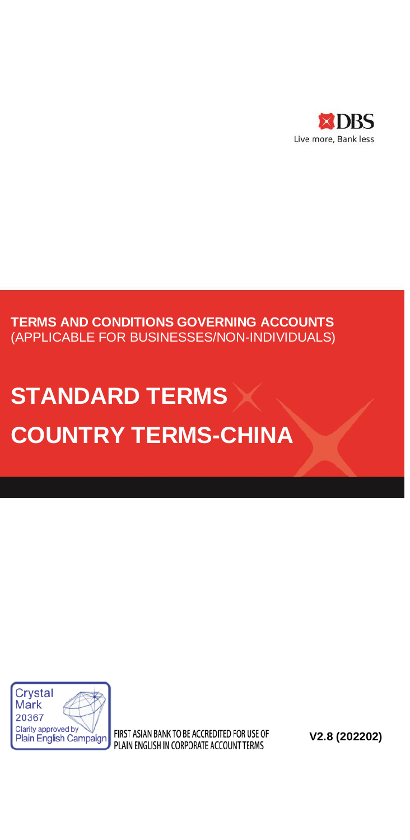

# **TERMS AND CONDITIONS GOVERNING ACCOUNTS** (APPLICABLE FOR BUSINESSES/NON-INDIVIDUALS)

# **STANDARD TERMS COUNTRY TERMS-CHINA**



FIRST ASIAN BANK TO BE ACCREDITED FOR USE OF PLAIN ENGLISH IN CORPORATE ACCOUNT TERMS

**V2.8 (202202)**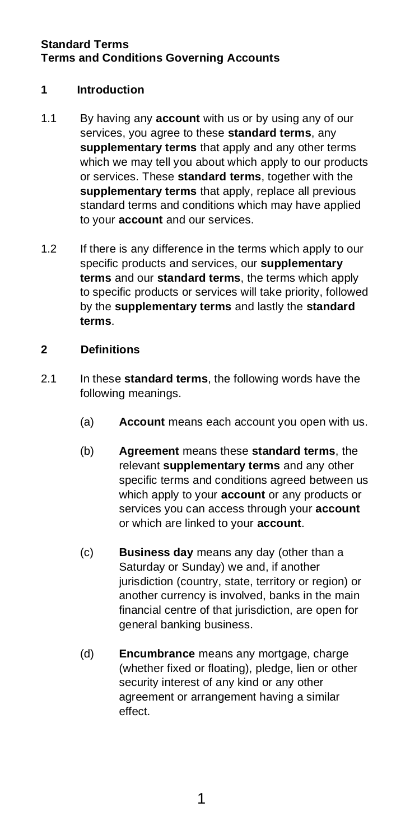# **1 Introduction**

- 1.1 By having any **account** with us or by using any of our services, you agree to these **standard terms**, any **supplementary terms** that apply and any other terms which we may tell you about which apply to our products or services. These **standard terms**, together with the **supplementary terms** that apply, replace all previous standard terms and conditions which may have applied to your **account** and our services.
- 1.2 If there is any difference in the terms which apply to our specific products and services, our **supplementary terms** and our **standard terms**, the terms which apply to specific products or services will take priority, followed by the **supplementary terms** and lastly the **standard terms**.

# **2 Definitions**

- 2.1 In these **standard terms**, the following words have the following meanings.
	- (a) **Account** means each account you open with us.
	- (b) **Agreement** means these **standard terms**, the relevant **supplementary terms** and any other specific terms and conditions agreed between us which apply to your **account** or any products or services you can access through your **account** or which are linked to your **account**.
	- (c) **Business day** means any day (other than a Saturday or Sunday) we and, if another jurisdiction (country, state, territory or region) or another currency is involved, banks in the main financial centre of that jurisdiction, are open for general banking business.
	- (d) **Encumbrance** means any mortgage, charge (whether fixed or floating), pledge, lien or other security interest of any kind or any other agreement or arrangement having a similar effect.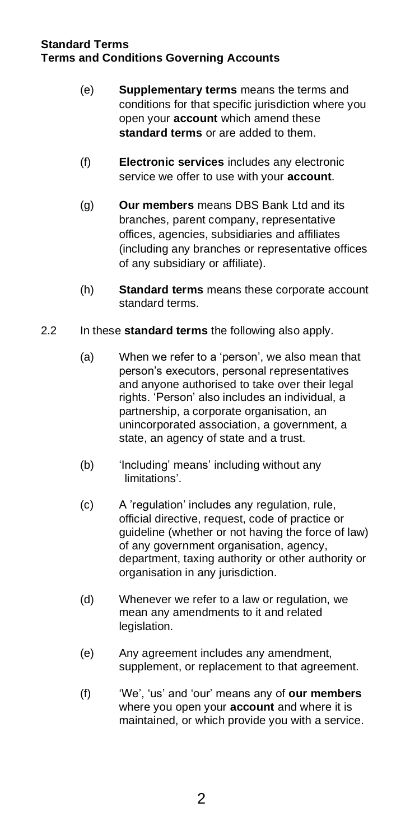- (e) **Supplementary terms** means the terms and conditions for that specific jurisdiction where you open your **account** which amend these **standard terms** or are added to them.
- (f) **Electronic services** includes any electronic service we offer to use with your **account**.
- (g) **Our members** means DBS Bank Ltd and its branches, parent company, representative offices, agencies, subsidiaries and affiliates (including any branches or representative offices of any subsidiary or affiliate).
- (h) **Standard terms** means these corporate account standard terms.
- 2.2 In these **standard terms** the following also apply.
	- (a) When we refer to a 'person', we also mean that person's executors, personal representatives and anyone authorised to take over their legal rights. 'Person' also includes an individual, a partnership, a corporate organisation, an unincorporated association, a government, a state, an agency of state and a trust.
	- (b) 'Including' means' including without any limitations'.
	- (c) A 'regulation' includes any regulation, rule, official directive, request, code of practice or guideline (whether or not having the force of law) of any government organisation, agency, department, taxing authority or other authority or organisation in any jurisdiction.
	- (d) Whenever we refer to a law or regulation, we mean any amendments to it and related legislation.
	- (e) Any agreement includes any amendment, supplement, or replacement to that agreement.
	- (f) 'We', 'us' and 'our' means any of **our members** where you open your **account** and where it is maintained, or which provide you with a service.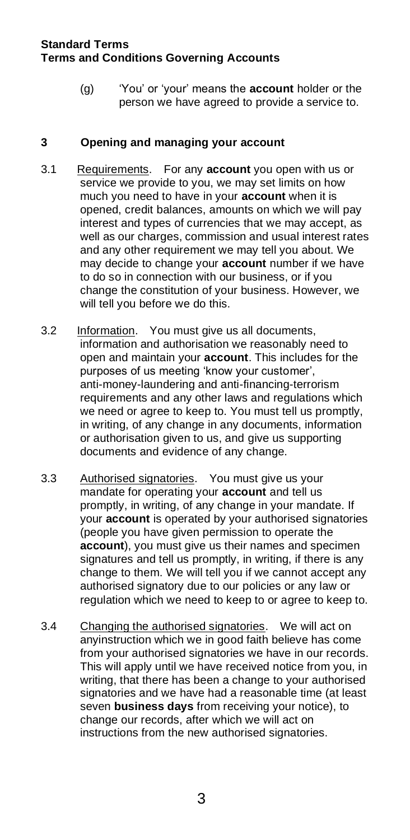(g) 'You' or 'your' means the **account** holder or the person we have agreed to provide a service to.

## **3 Opening and managing your account**

- 3.1 Requirements. For any **account** you open with us or service we provide to you, we may set limits on how much you need to have in your **account** when it is opened, credit balances, amounts on which we will pay interest and types of currencies that we may accept, as well as our charges, commission and usual interest rates and any other requirement we may tell you about. We may decide to change your **account** number if we have to do so in connection with our business, or if you change the constitution of your business. However, we will tell you before we do this.
- 3.2 Information. You must give us all documents, information and authorisation we reasonably need to open and maintain your **account**. This includes for the purposes of us meeting 'know your customer', anti-money-laundering and anti-financing-terrorism requirements and any other laws and regulations which we need or agree to keep to. You must tell us promptly, in writing, of any change in any documents, information or authorisation given to us, and give us supporting documents and evidence of any change.
- 3.3 Authorised signatories. You must give us your mandate for operating your **account** and tell us promptly, in writing, of any change in your mandate. If your **account** is operated by your authorised signatories (people you have given permission to operate the **account**), you must give us their names and specimen signatures and tell us promptly, in writing, if there is any change to them. We will tell you if we cannot accept any authorised signatory due to our policies or any law or regulation which we need to keep to or agree to keep to.
- 3.4 Changing the authorised signatories. We will act on anyinstruction which we in good faith believe has come from your authorised signatories we have in our records. This will apply until we have received notice from you, in writing, that there has been a change to your authorised signatories and we have had a reasonable time (at least seven **business days** from receiving your notice), to change our records, after which we will act on instructions from the new authorised signatories.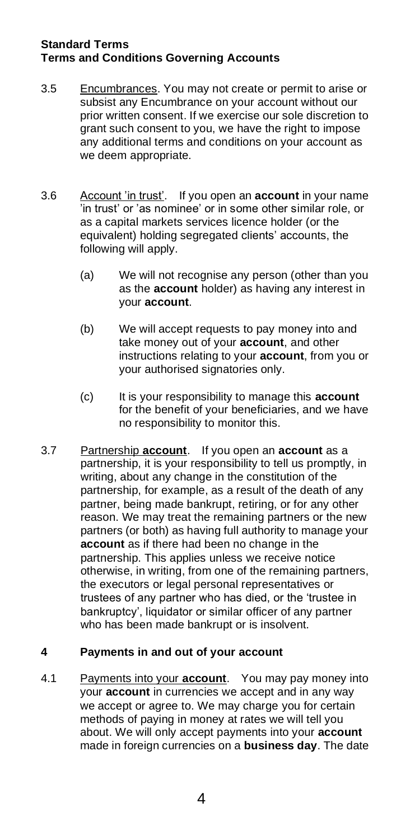- 3.5 Encumbrances. You may not create or permit to arise or subsist any Encumbrance on your account without our prior written consent. If we exercise our sole discretion to grant such consent to you, we have the right to impose any additional terms and conditions on your account as we deem appropriate.
- 3.6 Account 'in trust'. If you open an **account** in your name 'in trust' or 'as nominee' or in some other similar role, or as a capital markets services licence holder (or the equivalent) holding segregated clients' accounts, the following will apply.
	- (a) We will not recognise any person (other than you as the **account** holder) as having any interest in your **account**.
	- (b) We will accept requests to pay money into and take money out of your **account**, and other instructions relating to your **account**, from you or your authorised signatories only.
	- (c) It is your responsibility to manage this **account** for the benefit of your beneficiaries, and we have no responsibility to monitor this.
- 3.7 Partnership **account**. If you open an **account** as a partnership, it is your responsibility to tell us promptly, in writing, about any change in the constitution of the partnership, for example, as a result of the death of any partner, being made bankrupt, retiring, or for any other reason. We may treat the remaining partners or the new partners (or both) as having full authority to manage your **account** as if there had been no change in the partnership. This applies unless we receive notice otherwise, in writing, from one of the remaining partners, the executors or legal personal representatives or trustees of any partner who has died, or the 'trustee in bankruptcy', liquidator or similar officer of any partner who has been made bankrupt or is insolvent.

# **4 Payments in and out of your account**

4.1 Payments into your **account**. You may pay money into your **account** in currencies we accept and in any way we accept or agree to. We may charge you for certain methods of paying in money at rates we will tell you about. We will only accept payments into your **account** made in foreign currencies on a **business day**. The date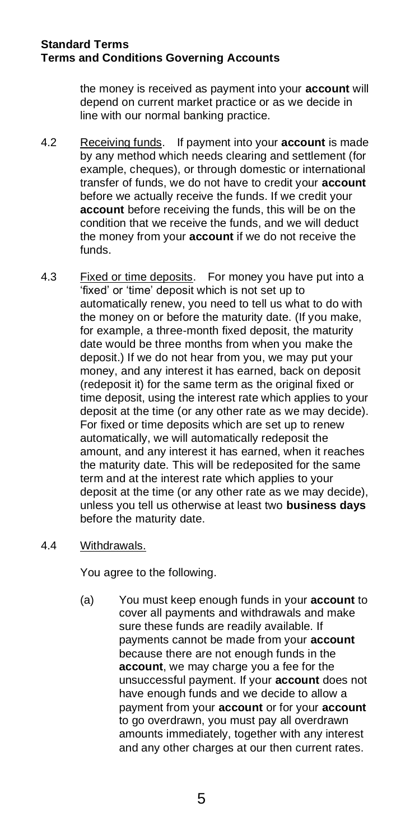the money is received as payment into your **account** will depend on current market practice or as we decide in line with our normal banking practice.

- 4.2 Receiving funds. If payment into your **account** is made by any method which needs clearing and settlement (for example, cheques), or through domestic or international transfer of funds, we do not have to credit your **account** before we actually receive the funds. If we credit your **account** before receiving the funds, this will be on the condition that we receive the funds, and we will deduct the money from your **account** if we do not receive the funds.
- 4.3 Fixed or time deposits. For money you have put into a 'fixed' or 'time' deposit which is not set up to automatically renew, you need to tell us what to do with the money on or before the maturity date. (If you make, for example, a three-month fixed deposit, the maturity date would be three months from when you make the deposit.) If we do not hear from you, we may put your money, and any interest it has earned, back on deposit (redeposit it) for the same term as the original fixed or time deposit, using the interest rate which applies to your deposit at the time (or any other rate as we may decide). For fixed or time deposits which are set up to renew automatically, we will automatically redeposit the amount, and any interest it has earned, when it reaches the maturity date. This will be redeposited for the same term and at the interest rate which applies to your deposit at the time (or any other rate as we may decide), unless you tell us otherwise at least two **business days** before the maturity date.

## 4.4 Withdrawals.

You agree to the following.

(a) You must keep enough funds in your **account** to cover all payments and withdrawals and make sure these funds are readily available. If payments cannot be made from your **account** because there are not enough funds in the **account**, we may charge you a fee for the unsuccessful payment. If your **account** does not have enough funds and we decide to allow a payment from your **account** or for your **account** to go overdrawn, you must pay all overdrawn amounts immediately, together with any interest and any other charges at our then current rates.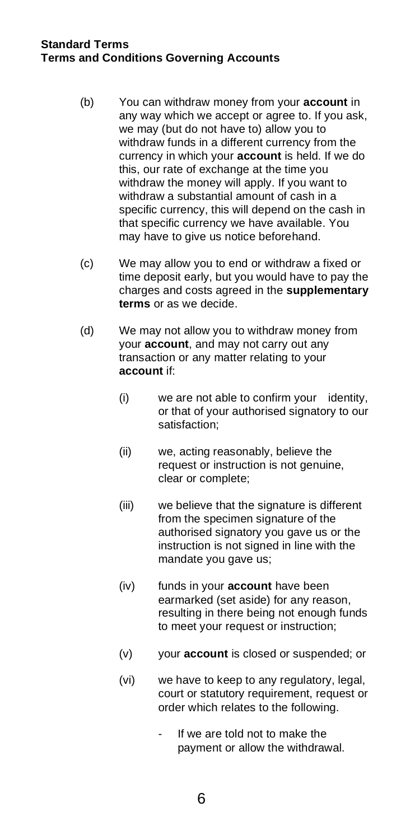- (b) You can withdraw money from your **account** in any way which we accept or agree to. If you ask, we may (but do not have to) allow you to withdraw funds in a different currency from the currency in which your **account** is held. If we do this, our rate of exchange at the time you withdraw the money will apply. If you want to withdraw a substantial amount of cash in a specific currency, this will depend on the cash in that specific currency we have available. You may have to give us notice beforehand.
- (c) We may allow you to end or withdraw a fixed or time deposit early, but you would have to pay the charges and costs agreed in the **supplementary terms** or as we decide.
- (d) We may not allow you to withdraw money from your **account**, and may not carry out any transaction or any matter relating to your **account** if:
	- (i) we are not able to confirm your identity, or that of your authorised signatory to our satisfaction;
	- (ii) we, acting reasonably, believe the request or instruction is not genuine, clear or complete;
	- (iii) we believe that the signature is different from the specimen signature of the authorised signatory you gave us or the instruction is not signed in line with the mandate you gave us;
	- (iv) funds in your **account** have been earmarked (set aside) for any reason, resulting in there being not enough funds to meet your request or instruction;
	- (v) your **account** is closed or suspended; or
	- (vi) we have to keep to any regulatory, legal, court or statutory requirement, request or order which relates to the following.
		- If we are told not to make the payment or allow the withdrawal.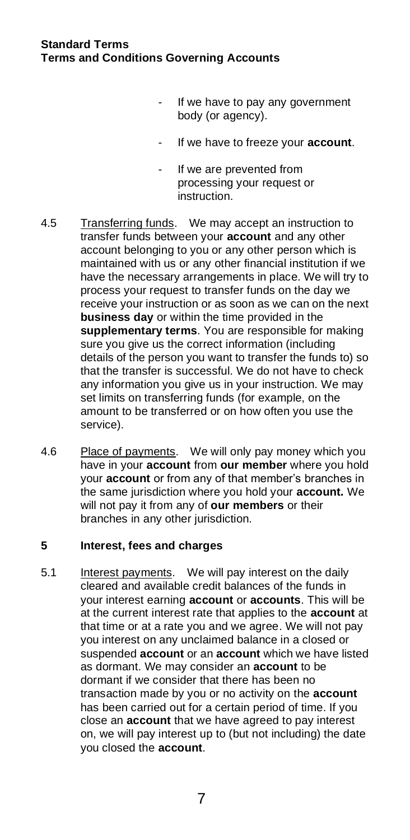- If we have to pay any government body (or agency).
- If we have to freeze your **account**.
- If we are prevented from processing your request or **instruction**
- 4.5 Transferring funds. We may accept an instruction to transfer funds between your **account** and any other account belonging to you or any other person which is maintained with us or any other financial institution if we have the necessary arrangements in place. We will try to process your request to transfer funds on the day we receive your instruction or as soon as we can on the next **business day** or within the time provided in the **supplementary terms**. You are responsible for making sure you give us the correct information (including details of the person you want to transfer the funds to) so that the transfer is successful. We do not have to check any information you give us in your instruction. We may set limits on transferring funds (for example, on the amount to be transferred or on how often you use the service).
- 4.6 Place of payments. We will only pay money which you have in your **account** from **our member** where you hold your **account** or from any of that member's branches in the same jurisdiction where you hold your **account.** We will not pay it from any of **our members** or their branches in any other jurisdiction.

# **5 Interest, fees and charges**

5.1 Interest payments. We will pay interest on the daily cleared and available credit balances of the funds in your interest earning **account** or **accounts**. This will be at the current interest rate that applies to the **account** at that time or at a rate you and we agree. We will not pay you interest on any unclaimed balance in a closed or suspended **account** or an **account** which we have listed as dormant. We may consider an **account** to be dormant if we consider that there has been no transaction made by you or no activity on the **account** has been carried out for a certain period of time. If you close an **account** that we have agreed to pay interest on, we will pay interest up to (but not including) the date you closed the **account**.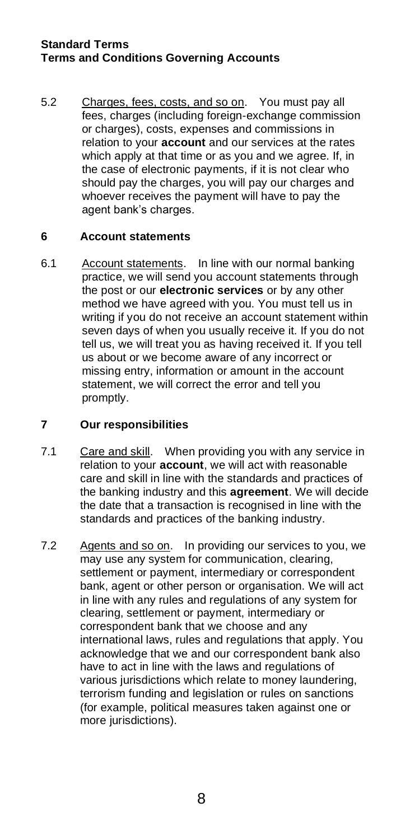5.2 Charges, fees, costs, and so on. You must pay all fees, charges (including foreign-exchange commission or charges), costs, expenses and commissions in relation to your **account** and our services at the rates which apply at that time or as you and we agree. If, in the case of electronic payments, if it is not clear who should pay the charges, you will pay our charges and whoever receives the payment will have to pay the agent bank's charges.

## **6 Account statements**

6.1 Account statements. In line with our normal banking practice, we will send you account statements through the post or our **electronic services** or by any other method we have agreed with you. You must tell us in writing if you do not receive an account statement within seven days of when you usually receive it. If you do not tell us, we will treat you as having received it. If you tell us about or we become aware of any incorrect or missing entry, information or amount in the account statement, we will correct the error and tell you promptly.

# **7 Our responsibilities**

- 7.1 Care and skill. When providing you with any service in relation to your **account**, we will act with reasonable care and skill in line with the standards and practices of the banking industry and this **agreement**. We will decide the date that a transaction is recognised in line with the standards and practices of the banking industry.
- 7.2 Agents and so on. In providing our services to you, we may use any system for communication, clearing, settlement or payment, intermediary or correspondent bank, agent or other person or organisation. We will act in line with any rules and regulations of any system for clearing, settlement or payment, intermediary or correspondent bank that we choose and any international laws, rules and regulations that apply. You acknowledge that we and our correspondent bank also have to act in line with the laws and regulations of various jurisdictions which relate to money laundering, terrorism funding and legislation or rules on sanctions (for example, political measures taken against one or more jurisdictions).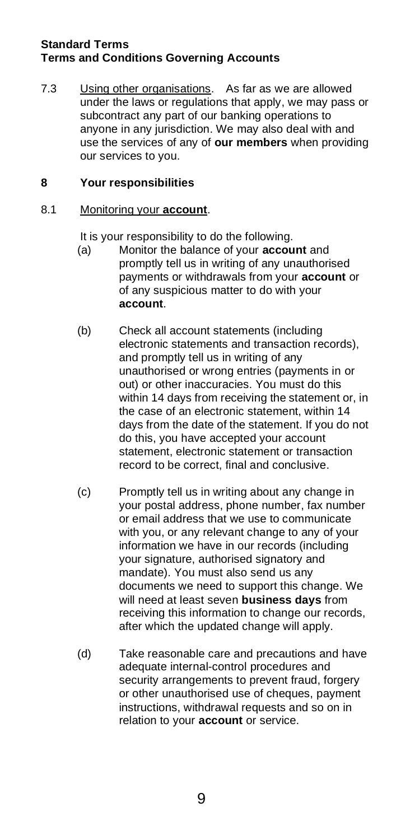7.3 Using other organisations. As far as we are allowed under the laws or regulations that apply, we may pass or subcontract any part of our banking operations to anyone in any jurisdiction. We may also deal with and use the services of any of **our members** when providing our services to you.

# **8 Your responsibilities**

## 8.1 Monitoring your **account**.

It is your responsibility to do the following.

- (a) Monitor the balance of your **account** and promptly tell us in writing of any unauthorised payments or withdrawals from your **account** or of any suspicious matter to do with your **account**.
- (b) Check all account statements (including electronic statements and transaction records), and promptly tell us in writing of any unauthorised or wrong entries (payments in or out) or other inaccuracies. You must do this within 14 days from receiving the statement or, in the case of an electronic statement, within 14 days from the date of the statement. If you do not do this, you have accepted your account statement, electronic statement or transaction record to be correct, final and conclusive.
- (c) Promptly tell us in writing about any change in your postal address, phone number, fax number or email address that we use to communicate with you, or any relevant change to any of your information we have in our records (including your signature, authorised signatory and mandate). You must also send us any documents we need to support this change. We will need at least seven **business days** from receiving this information to change our records, after which the updated change will apply.
- (d) Take reasonable care and precautions and have adequate internal-control procedures and security arrangements to prevent fraud, forgery or other unauthorised use of cheques, payment instructions, withdrawal requests and so on in relation to your **account** or service.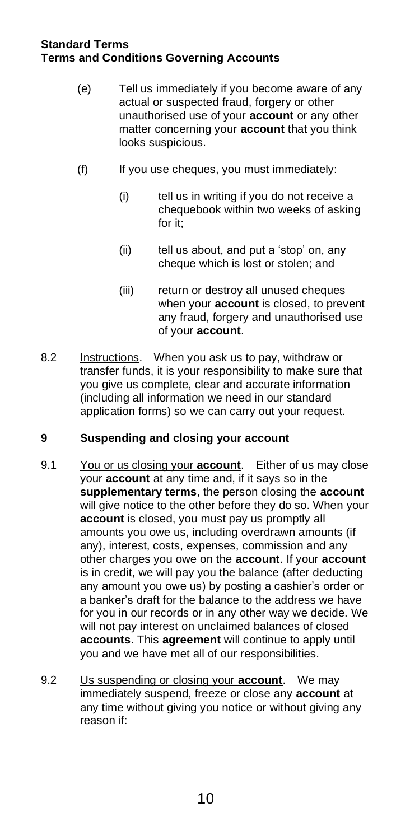- (e) Tell us immediately if you become aware of any actual or suspected fraud, forgery or other unauthorised use of your **account** or any other matter concerning your **account** that you think looks suspicious.
- (f) If you use cheques, you must immediately:
	- (i) tell us in writing if you do not receive a chequebook within two weeks of asking for it;
	- (ii) tell us about, and put a 'stop' on, any cheque which is lost or stolen; and
	- (iii) return or destroy all unused cheques when your **account** is closed, to prevent any fraud, forgery and unauthorised use of your **account**.
- 8.2 Instructions. When you ask us to pay, withdraw or transfer funds, it is your responsibility to make sure that you give us complete, clear and accurate information (including all information we need in our standard application forms) so we can carry out your request.

## **9 Suspending and closing your account**

- 9.1 You or us closing your **account**. Either of us may close your **account** at any time and, if it says so in the **supplementary terms**, the person closing the **account** will give notice to the other before they do so. When your **account** is closed, you must pay us promptly all amounts you owe us, including overdrawn amounts (if any), interest, costs, expenses, commission and any other charges you owe on the **account**. If your **account** is in credit, we will pay you the balance (after deducting any amount you owe us) by posting a cashier's order or a banker's draft for the balance to the address we have for you in our records or in any other way we decide. We will not pay interest on unclaimed balances of closed **accounts**. This **agreement** will continue to apply until you and we have met all of our responsibilities.
- 9.2 Us suspending or closing your **account**. We may immediately suspend, freeze or close any **account** at any time without giving you notice or without giving any reason if: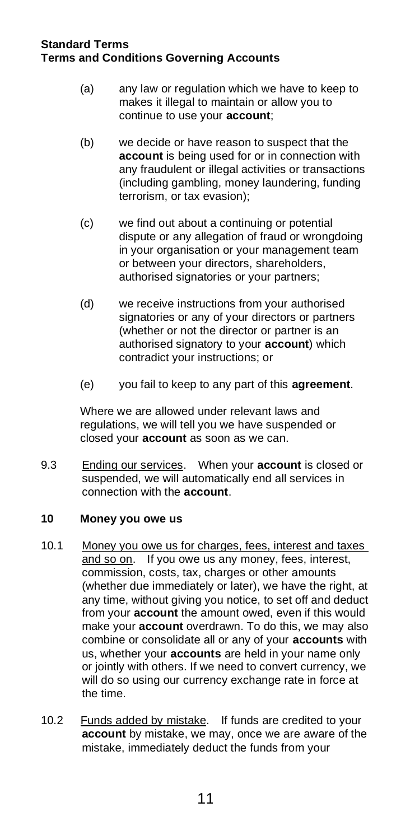- (a) any law or regulation which we have to keep to makes it illegal to maintain or allow you to continue to use your **account**;
- (b) we decide or have reason to suspect that the **account** is being used for or in connection with any fraudulent or illegal activities or transactions (including gambling, money laundering, funding terrorism, or tax evasion);
- (c) we find out about a continuing or potential dispute or any allegation of fraud or wrongdoing in your organisation or your management team or between your directors, shareholders, authorised signatories or your partners;
- (d) we receive instructions from your authorised signatories or any of your directors or partners (whether or not the director or partner is an authorised signatory to your **account**) which contradict your instructions; or
- (e) you fail to keep to any part of this **agreement**.

Where we are allowed under relevant laws and regulations, we will tell you we have suspended or closed your **account** as soon as we can.

9.3 Ending our services. When your **account** is closed or suspended, we will automatically end all services in connection with the **account**.

## **10 Money you owe us**

- 10.1 Money you owe us for charges, fees, interest and taxes and so on. If you owe us any money, fees, interest, commission, costs, tax, charges or other amounts (whether due immediately or later), we have the right, at any time, without giving you notice, to set off and deduct from your **account** the amount owed, even if this would make your **account** overdrawn. To do this, we may also combine or consolidate all or any of your **accounts** with us, whether your **accounts** are held in your name only or jointly with others. If we need to convert currency, we will do so using our currency exchange rate in force at the time.
- 10.2 Funds added by mistake. If funds are credited to your **account** by mistake, we may, once we are aware of the mistake, immediately deduct the funds from your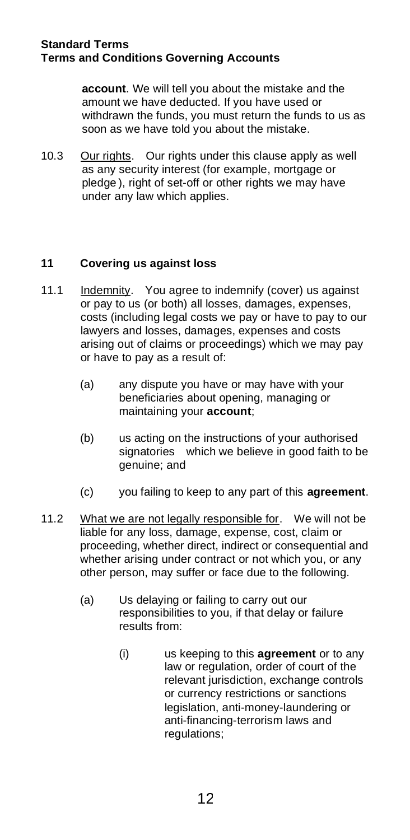**account**. We will tell you about the mistake and the amount we have deducted. If you have used or withdrawn the funds, you must return the funds to us as soon as we have told you about the mistake.

10.3 Our rights. Our rights under this clause apply as well as any security interest (for example, mortgage or pledge ), right of set-off or other rights we may have under any law which applies.

# **11 Covering us against loss**

- 11.1 Indemnity. You agree to indemnify (cover) us against or pay to us (or both) all losses, damages, expenses, costs (including legal costs we pay or have to pay to our lawyers and losses, damages, expenses and costs arising out of claims or proceedings) which we may pay or have to pay as a result of:
	- (a) any dispute you have or may have with your beneficiaries about opening, managing or maintaining your **account**;
	- (b) us acting on the instructions of your authorised signatories which we believe in good faith to be genuine; and
	- (c) you failing to keep to any part of this **agreement**.
- 11.2 What we are not legally responsible for. We will not be liable for any loss, damage, expense, cost, claim or proceeding, whether direct, indirect or consequential and whether arising under contract or not which you, or any other person, may suffer or face due to the following.
	- (a) Us delaying or failing to carry out our responsibilities to you, if that delay or failure results from:
		- (i) us keeping to this **agreement** or to any law or regulation, order of court of the relevant jurisdiction, exchange controls or currency restrictions or sanctions legislation, anti-money-laundering or anti-financing-terrorism laws and regulations: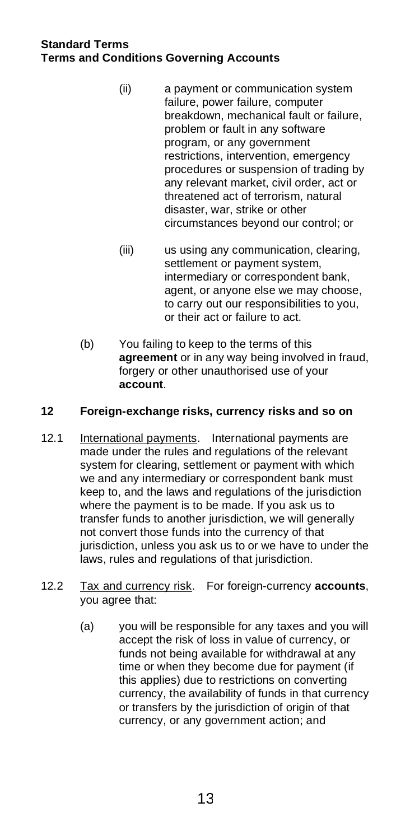- (ii) a payment or communication system failure, power failure, computer breakdown, mechanical fault or failure, problem or fault in any software program, or any government restrictions, intervention, emergency procedures or suspension of trading by any relevant market, civil order, act or threatened act of terrorism, natural disaster, war, strike or other circumstances beyond our control; or
- (iii) us using any communication, clearing, settlement or payment system, intermediary or correspondent bank, agent, or anyone else we may choose, to carry out our responsibilities to you, or their act or failure to act.
- (b) You failing to keep to the terms of this **agreement** or in any way being involved in fraud, forgery or other unauthorised use of your **account**.

# **12 Foreign-exchange risks, currency risks and so on**

- 12.1 International payments. International payments are made under the rules and regulations of the relevant system for clearing, settlement or payment with which we and any intermediary or correspondent bank must keep to, and the laws and regulations of the jurisdiction where the payment is to be made. If you ask us to transfer funds to another jurisdiction, we will generally not convert those funds into the currency of that jurisdiction, unless you ask us to or we have to under the laws, rules and regulations of that jurisdiction.
- 12.2 Tax and currency risk. For foreign-currency **accounts**, you agree that:
	- (a) you will be responsible for any taxes and you will accept the risk of loss in value of currency, or funds not being available for withdrawal at any time or when they become due for payment (if this applies) due to restrictions on converting currency, the availability of funds in that currency or transfers by the jurisdiction of origin of that currency, or any government action; and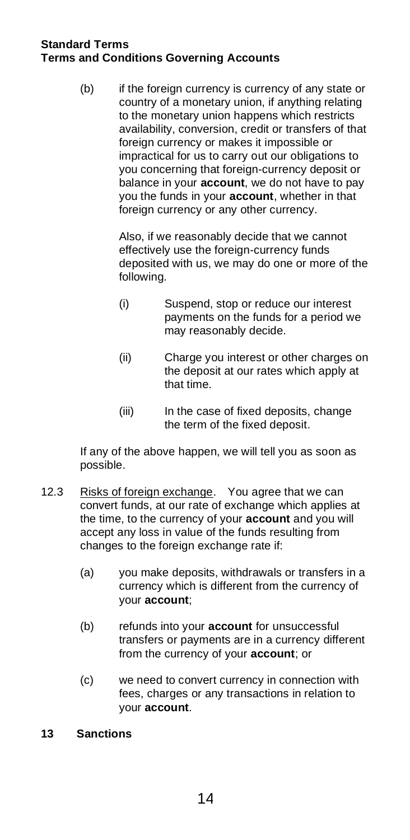(b) if the foreign currency is currency of any state or country of a monetary union, if anything relating to the monetary union happens which restricts availability, conversion, credit or transfers of that foreign currency or makes it impossible or impractical for us to carry out our obligations to you concerning that foreign-currency deposit or balance in your **account**, we do not have to pay you the funds in your **account**, whether in that foreign currency or any other currency.

> Also, if we reasonably decide that we cannot effectively use the foreign-currency funds deposited with us, we may do one or more of the following.

- (i) Suspend, stop or reduce our interest payments on the funds for a period we may reasonably decide.
- (ii) Charge you interest or other charges on the deposit at our rates which apply at that time.
- (iii) In the case of fixed deposits, change the term of the fixed deposit.

If any of the above happen, we will tell you as soon as possible.

- 12.3 Risks of foreign exchange. You agree that we can convert funds, at our rate of exchange which applies at the time, to the currency of your **account** and you will accept any loss in value of the funds resulting from changes to the foreign exchange rate if:
	- (a) you make deposits, withdrawals or transfers in a currency which is different from the currency of your **account**;
	- (b) refunds into your **account** for unsuccessful transfers or payments are in a currency different from the currency of your **account**; or
	- (c) we need to convert currency in connection with fees, charges or any transactions in relation to your **account**.

## **13 Sanctions**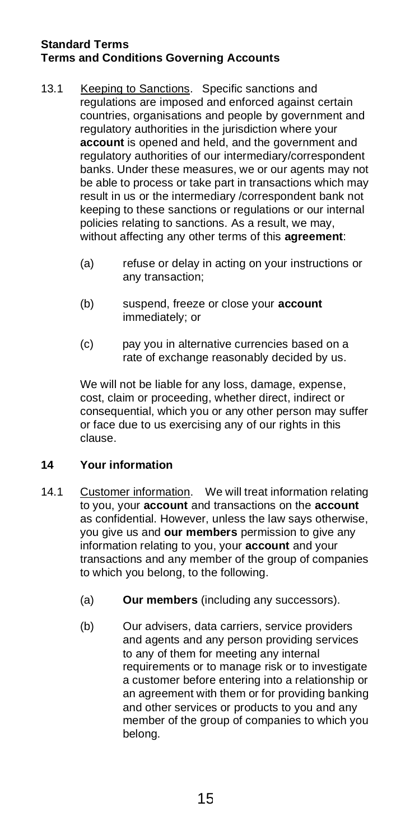- 13.1 Keeping to Sanctions. Specific sanctions and regulations are imposed and enforced against certain countries, organisations and people by government and regulatory authorities in the jurisdiction where your **account** is opened and held, and the government and regulatory authorities of our intermediary/correspondent banks. Under these measures, we or our agents may not be able to process or take part in transactions which may result in us or the intermediary /correspondent bank not keeping to these sanctions or regulations or our internal policies relating to sanctions. As a result, we may, without affecting any other terms of this **agreement**:
	- (a) refuse or delay in acting on your instructions or any transaction;
	- (b) suspend, freeze or close your **account** immediately; or
	- (c) pay you in alternative currencies based on a rate of exchange reasonably decided by us.

We will not be liable for any loss, damage, expense, cost, claim or proceeding, whether direct, indirect or consequential, which you or any other person may suffer or face due to us exercising any of our rights in this clause.

# **14 Your information**

- 14.1 Customer information. We will treat information relating to you, your **account** and transactions on the **account** as confidential. However, unless the law says otherwise, you give us and **our members** permission to give any information relating to you, your **account** and your transactions and any member of the group of companies to which you belong, to the following.
	- (a) **Our members** (including any successors).
	- (b) Our advisers, data carriers, service providers and agents and any person providing services to any of them for meeting any internal requirements or to manage risk or to investigate a customer before entering into a relationship or an agreement with them or for providing banking and other services or products to you and any member of the group of companies to which you belong.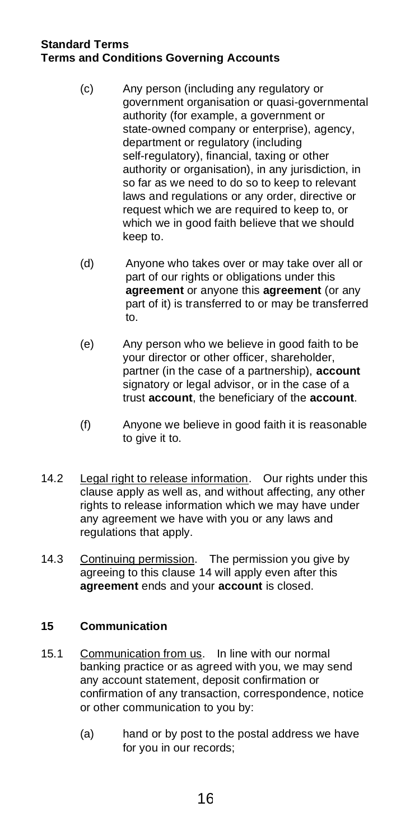- (c) Any person (including any regulatory or government organisation or quasi-governmental authority (for example, a government or state-owned company or enterprise), agency, department or regulatory (including self-regulatory), financial, taxing or other authority or organisation), in any jurisdiction, in so far as we need to do so to keep to relevant laws and regulations or any order, directive or request which we are required to keep to, or which we in good faith believe that we should keep to.
- (d) Anyone who takes over or may take over all or part of our rights or obligations under this **agreement** or anyone this **agreement** (or any part of it) is transferred to or may be transferred to.
- (e) Any person who we believe in good faith to be your director or other officer, shareholder, partner (in the case of a partnership), **account** signatory or legal advisor, or in the case of a trust **account**, the beneficiary of the **account**.
- (f) Anyone we believe in good faith it is reasonable to give it to.
- 14.2 Legal right to release information. Our rights under this clause apply as well as, and without affecting, any other rights to release information which we may have under any agreement we have with you or any laws and regulations that apply.
- 14.3 Continuing permission. The permission you give by agreeing to this clause 14 will apply even after this **agreement** ends and your **account** is closed.

# **15 Communication**

- 15.1 Communication from us. In line with our normal banking practice or as agreed with you, we may send any account statement, deposit confirmation or confirmation of any transaction, correspondence, notice or other communication to you by:
	- (a) hand or by post to the postal address we have for you in our records;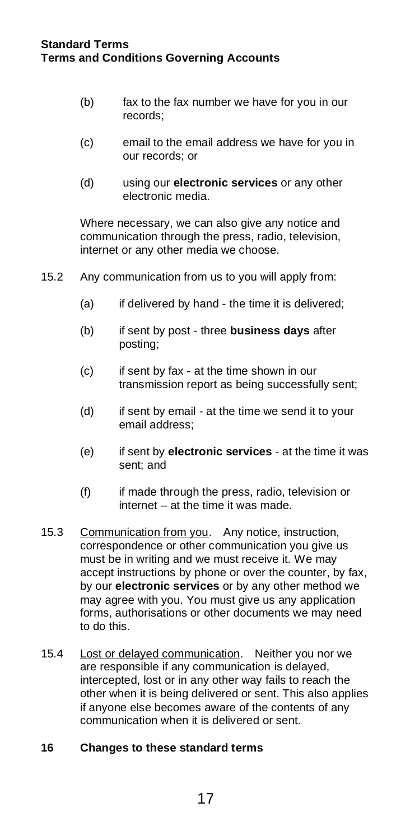- (b) fax to the fax number we have for you in our records;
- (c) email to the email address we have for you in our records; or
- (d) using our **electronic services** or any other electronic media.

Where necessary, we can also give any notice and communication through the press, radio, television, internet or any other media we choose.

- 15.2 Any communication from us to you will apply from:
	- (a) if delivered by hand the time it is delivered;
	- (b) if sent by post three **business days** after posting;
	- (c) if sent by fax at the time shown in our transmission report as being successfully sent;
	- (d) if sent by email at the time we send it to your email address;
	- (e) if sent by **electronic services** at the time it was sent; and
	- (f) if made through the press, radio, television or internet – at the time it was made.
- 15.3 Communication from you. Any notice, instruction, correspondence or other communication you give us must be in writing and we must receive it. We may accept instructions by phone or over the counter, by fax, by our **electronic services** or by any other method we may agree with you. You must give us any application forms, authorisations or other documents we may need to do this.
- 15.4 Lost or delayed communication. Neither you nor we are responsible if any communication is delayed, intercepted, lost or in any other way fails to reach the other when it is being delivered or sent. This also applies if anyone else becomes aware of the contents of any communication when it is delivered or sent.

# **16 Changes to these standard terms**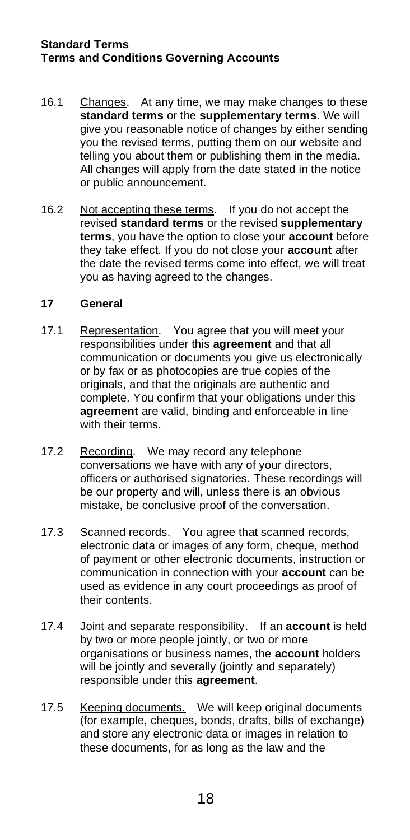- 16.1 Changes. At any time, we may make changes to these **standard terms** or the **supplementary terms**. We will give you reasonable notice of changes by either sending you the revised terms, putting them on our website and telling you about them or publishing them in the media. All changes will apply from the date stated in the notice or public announcement.
- 16.2 Not accepting these terms. If you do not accept the revised **standard terms** or the revised **supplementary terms**, you have the option to close your **account** before they take effect. If you do not close your **account** after the date the revised terms come into effect, we will treat you as having agreed to the changes.

#### **17 General**

- 17.1 Representation. You agree that you will meet your responsibilities under this **agreement** and that all communication or documents you give us electronically or by fax or as photocopies are true copies of the originals, and that the originals are authentic and complete. You confirm that your obligations under this **agreement** are valid, binding and enforceable in line with their terms.
- 17.2 Recording. We may record any telephone conversations we have with any of your directors, officers or authorised signatories. These recordings will be our property and will, unless there is an obvious mistake, be conclusive proof of the conversation.
- 17.3 Scanned records. You agree that scanned records, electronic data or images of any form, cheque, method of payment or other electronic documents, instruction or communication in connection with your **account** can be used as evidence in any court proceedings as proof of their contents.
- 17.4 Joint and separate responsibility. If an **account** is held by two or more people jointly, or two or more organisations or business names, the **account** holders will be jointly and severally (jointly and separately) responsible under this **agreement**.
- 17.5 Keeping documents. We will keep original documents (for example, cheques, bonds, drafts, bills of exchange) and store any electronic data or images in relation to these documents, for as long as the law and the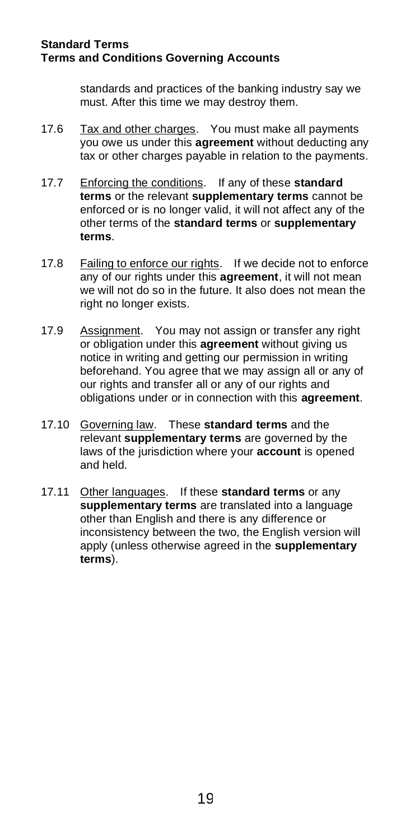standards and practices of the banking industry say we must. After this time we may destroy them.

- 17.6 Tax and other charges. You must make all payments you owe us under this **agreement** without deducting any tax or other charges payable in relation to the payments.
- 17.7 Enforcing the conditions. If any of these **standard terms** or the relevant **supplementary terms** cannot be enforced or is no longer valid, it will not affect any of the other terms of the **standard terms** or **supplementary terms**.
- 17.8 Failing to enforce our rights. If we decide not to enforce any of our rights under this **agreement**, it will not mean we will not do so in the future. It also does not mean the right no longer exists.
- 17.9 Assignment. You may not assign or transfer any right or obligation under this **agreement** without giving us notice in writing and getting our permission in writing beforehand. You agree that we may assign all or any of our rights and transfer all or any of our rights and obligations under or in connection with this **agreement**.
- 17.10 Governing law. These **standard terms** and the relevant **supplementary terms** are governed by the laws of the jurisdiction where your **account** is opened and held.
- 17.11 Other languages. If these **standard terms** or any **supplementary terms** are translated into a language other than English and there is any difference or inconsistency between the two, the English version will apply (unless otherwise agreed in the **supplementary terms**).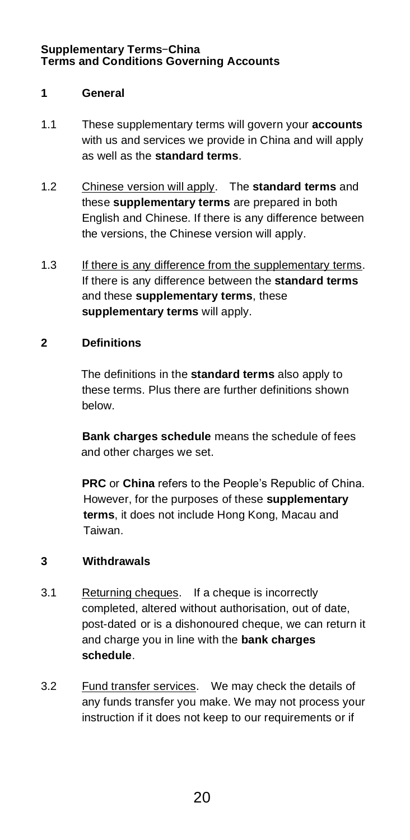## **1 General**

- 1.1 These supplementary terms will govern your **accounts** with us and services we provide in China and will apply as well as the **standard terms**.
- 1.2 Chinese version will apply. The **standard terms** and these **supplementary terms** are prepared in both English and Chinese. If there is any difference between the versions, the Chinese version will apply.
- 1.3 If there is any difference from the supplementary terms. If there is any difference between the **standard terms** and these **supplementary terms**, these **supplementary terms** will apply.

## **2 Definitions**

The definitions in the **standard terms** also apply to these terms. Plus there are further definitions shown below.

**Bank charges schedule** means the schedule of fees and other charges we set.

**PRC** or **China** refers to the People's Republic of China. However, for the purposes of these **supplementary terms**, it does not include Hong Kong, Macau and Taiwan.

## **3 Withdrawals**

- 3.1 Returning cheques. If a cheque is incorrectly completed, altered without authorisation, out of date, post-dated or is a dishonoured cheque, we can return it and charge you in line with the **bank charges schedule**.
- 3.2 Fund transfer services. We may check the details of any funds transfer you make. We may not process your instruction if it does not keep to our requirements or if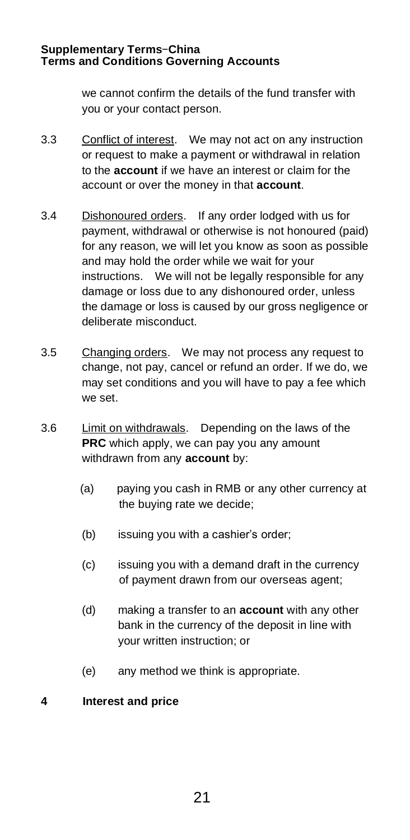we cannot confirm the details of the fund transfer with you or your contact person.

- 3.3 Conflict of interest. We may not act on any instruction or request to make a payment or withdrawal in relation to the **account** if we have an interest or claim for the account or over the money in that **account**.
- 3.4 Dishonoured orders. If any order lodged with us for payment, withdrawal or otherwise is not honoured (paid) for any reason, we will let you know as soon as possible and may hold the order while we wait for your instructions. We will not be legally responsible for any damage or loss due to any dishonoured order, unless the damage or loss is caused by our gross negligence or deliberate misconduct.
- 3.5 Changing orders. We may not process any request to change, not pay, cancel or refund an order. If we do, we may set conditions and you will have to pay a fee which we set.
- 3.6 Limit on withdrawals. Depending on the laws of the **PRC** which apply, we can pay you any amount withdrawn from any **account** by:
	- (a) paying you cash in RMB or any other currency at the buying rate we decide;
	- (b) issuing you with a cashier's order;
	- (c) issuing you with a demand draft in the currency of payment drawn from our overseas agent;
	- (d) making a transfer to an **account** with any other bank in the currency of the deposit in line with your written instruction; or
	- (e) any method we think is appropriate.

## **4 Interest and price**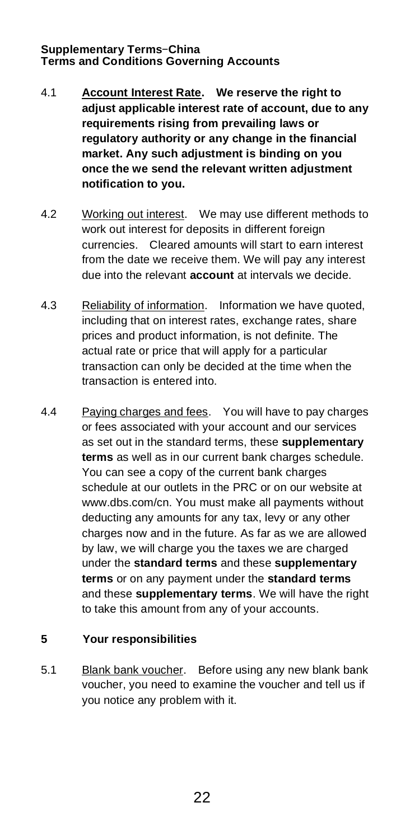- 4.1 **Account Interest Rate. We reserve the right to adjust applicable interest rate of account, due to any requirements rising from prevailing laws or regulatory authority or any change in the financial market. Any such adjustment is binding on you once the we send the relevant written adjustment notification to you.**
- 4.2 Working out interest. We may use different methods to work out interest for deposits in different foreign currencies. Cleared amounts will start to earn interest from the date we receive them. We will pay any interest due into the relevant **account** at intervals we decide.
- 4.3 Reliability of information. Information we have quoted, including that on interest rates, exchange rates, share prices and product information, is not definite. The actual rate or price that will apply for a particular transaction can only be decided at the time when the transaction is entered into.
- 4.4 Paying charges and fees. You will have to pay charges or fees associated with your account and our services as set out in the standard terms, these **supplementary terms** as well as in our current bank charges schedule. You can see a copy of the current bank charges schedule at our outlets in the PRC or on our website at www.dbs.com/cn. You must make all payments without deducting any amounts for any tax, levy or any other charges now and in the future. As far as we are allowed by law, we will charge you the taxes we are charged under the **standard terms** and these **supplementary terms** or on any payment under the **standard terms** and these **supplementary terms**. We will have the right to take this amount from any of your accounts.

# **5 Your responsibilities**

5.1 Blank bank voucher. Before using any new blank bank voucher, you need to examine the voucher and tell us if you notice any problem with it.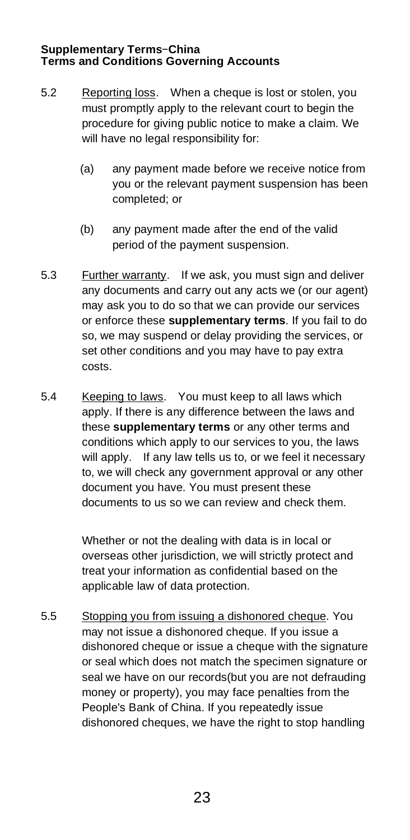- 5.2 Reporting loss. When a cheque is lost or stolen, you must promptly apply to the relevant court to begin the procedure for giving public notice to make a claim. We will have no legal responsibility for:
	- (a) any payment made before we receive notice from you or the relevant payment suspension has been completed; or
	- (b) any payment made after the end of the valid period of the payment suspension.
- 5.3 Further warranty. If we ask, you must sign and deliver any documents and carry out any acts we (or our agent) may ask you to do so that we can provide our services or enforce these **supplementary terms**. If you fail to do so, we may suspend or delay providing the services, or set other conditions and you may have to pay extra costs.
- 5.4 Keeping to laws. You must keep to all laws which apply. If there is any difference between the laws and these **supplementary terms** or any other terms and conditions which apply to our services to you, the laws will apply. If any law tells us to, or we feel it necessary to, we will check any government approval or any other document you have. You must present these documents to us so we can review and check them.

Whether or not the dealing with data is in local or overseas other jurisdiction, we will strictly protect and treat your information as confidential based on the applicable law of data protection.

5.5 Stopping you from issuing a dishonored cheque. You may not issue a dishonored cheque. If you issue a dishonored cheque or issue a cheque with the signature or seal which does not match the specimen signature or seal we have on our records(but you are not defrauding money or property), you may face penalties from the People's Bank of China. If you repeatedly issue dishonored cheques, we have the right to stop handling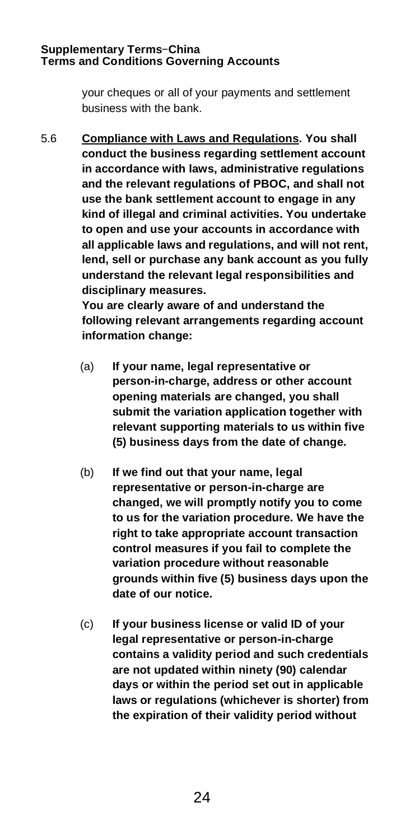your cheques or all of your payments and settlement business with the bank.

5.6 **Compliance with Laws and Regulations. You shall conduct the business regarding settlement account in accordance with laws, administrative regulations and the relevant regulations of PBOC, and shall not use the bank settlement account to engage in any kind of illegal and criminal activities. You undertake to open and use your accounts in accordance with all applicable laws and regulations, and will not rent, lend, sell or purchase any bank account as you fully understand the relevant legal responsibilities and disciplinary measures.** 

> **You are clearly aware of and understand the following relevant arrangements regarding account information change:**

- (a) **If your name, legal representative or person-in-charge, address or other account opening materials are changed, you shall submit the variation application together with relevant supporting materials to us within five (5) business days from the date of change.**
- (b) **If we find out that your name, legal representative or person-in-charge are changed, we will promptly notify you to come to us for the variation procedure. We have the right to take appropriate account transaction control measures if you fail to complete the variation procedure without reasonable grounds within five (5) business days upon the date of our notice.**
- (c) **If your business license or valid ID of your legal representative or person-in-charge contains a validity period and such credentials are not updated within ninety (90) calendar days or within the period set out in applicable laws or regulations (whichever is shorter) from the expiration of their validity period without**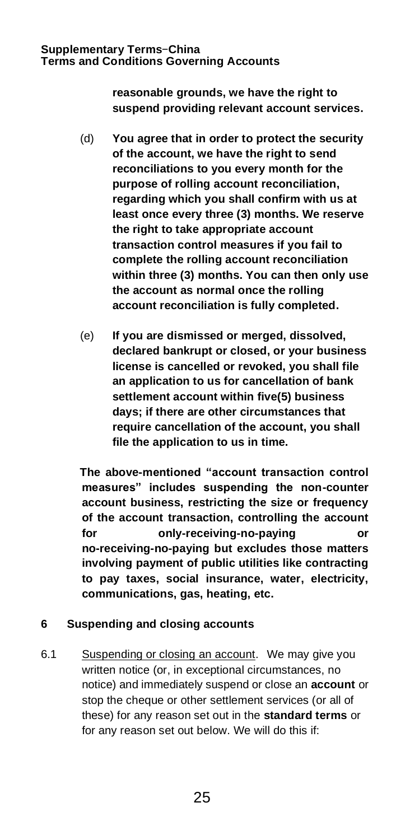**reasonable grounds, we have the right to suspend providing relevant account services.**

- (d) **You agree that in order to protect the security of the account, we have the right to send reconciliations to you every month for the purpose of rolling account reconciliation, regarding which you shall confirm with us at least once every three (3) months. We reserve the right to take appropriate account transaction control measures if you fail to complete the rolling account reconciliation within three (3) months. You can then only use the account as normal once the rolling account reconciliation is fully completed.**
- (e) **If you are dismissed or merged, dissolved, declared bankrupt or closed, or your business license is cancelled or revoked, you shall file an application to us for cancellation of bank settlement account within five(5) business days; if there are other circumstances that require cancellation of the account, you shall file the application to us in time.**

 **The above-mentioned "account transaction control measures" includes suspending the non-counter account business, restricting the size or frequency of the account transaction, controlling the account for only-receiving-no-paying or no-receiving-no-paying but excludes those matters involving payment of public utilities like contracting to pay taxes, social insurance, water, electricity, communications, gas, heating, etc.**

# **6 Suspending and closing accounts**

6.1 Suspending or closing an account. We may give you written notice (or, in exceptional circumstances, no notice) and immediately suspend or close an **account** or stop the cheque or other settlement services (or all of these) for any reason set out in the **standard terms** or for any reason set out below. We will do this if: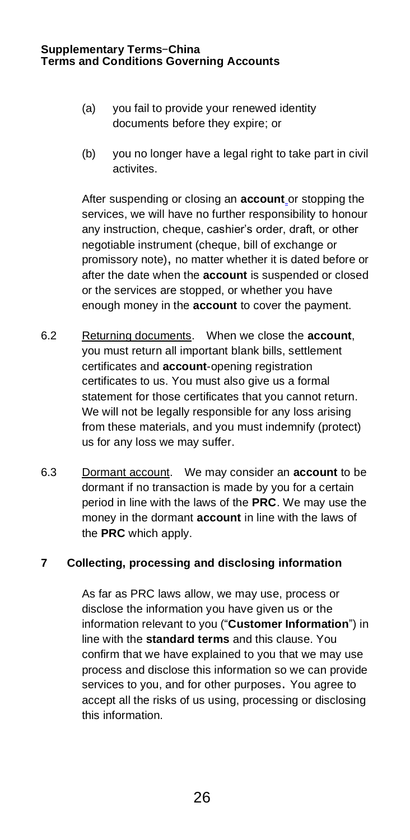- (a) you fail to provide your renewed identity documents before they expire; or
- (b) you no longer have a legal right to take part in civil activites.

After suspending or closing an **account** or stopping the services, we will have no further responsibility to honour any instruction, cheque, cashier's order, draft, or other negotiable instrument (cheque, bill of exchange or promissory note), no matter whether it is dated before or after the date when the **account** is suspended or closed or the services are stopped, or whether you have enough money in the **account** to cover the payment.

- 6.2 Returning documents. When we close the **account**, you must return all important blank bills, settlement certificates and **account**-opening registration certificates to us. You must also give us a formal statement for those certificates that you cannot return. We will not be legally responsible for any loss arising from these materials, and you must indemnify (protect) us for any loss we may suffer.
- 6.3 Dormant account. We may consider an **account** to be dormant if no transaction is made by you for a certain period in line with the laws of the **PRC**. We may use the money in the dormant **account** in line with the laws of the **PRC** which apply.

# **7 Collecting, processing and disclosing information**

As far as PRC laws allow, we may use, process or disclose the information you have given us or the information relevant to you ("**Customer Information**") in line with the **standard terms** and this clause. You confirm that we have explained to you that we may use process and disclose this information so we can provide services to you, and for other purposes. You agree to accept all the risks of us using, processing or disclosing this information.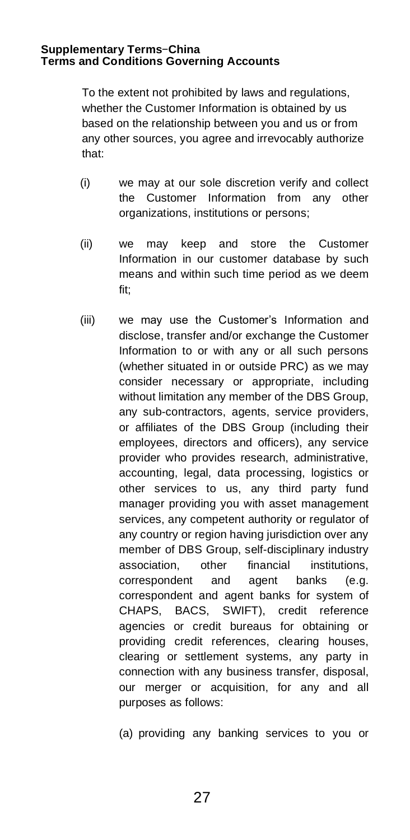To the extent not prohibited by laws and regulations, whether the Customer Information is obtained by us based on the relationship between you and us or from any other sources, you agree and irrevocably authorize that:

- (i) we may at our sole discretion verify and collect the Customer Information from any other organizations, institutions or persons;
- (ii) we may keep and store the Customer Information in our customer database by such means and within such time period as we deem fit;
- (iii) we may use the Customer's Information and disclose, transfer and/or exchange the Customer Information to or with any or all such persons (whether situated in or outside PRC) as we may consider necessary or appropriate, including without limitation any member of the DBS Group, any sub-contractors, agents, service providers, or affiliates of the DBS Group (including their employees, directors and officers), any service provider who provides research, administrative, accounting, legal, data processing, logistics or other services to us, any third party fund manager providing you with asset management services, any competent authority or regulator of any country or region having jurisdiction over any member of DBS Group, self-disciplinary industry association, other financial institutions, correspondent and agent banks (e.g. correspondent and agent banks for system of CHAPS, BACS, SWIFT), credit reference agencies or credit bureaus for obtaining or providing credit references, clearing houses, clearing or settlement systems, any party in connection with any business transfer, disposal, our merger or acquisition, for any and all purposes as follows:

(a) providing any banking services to you or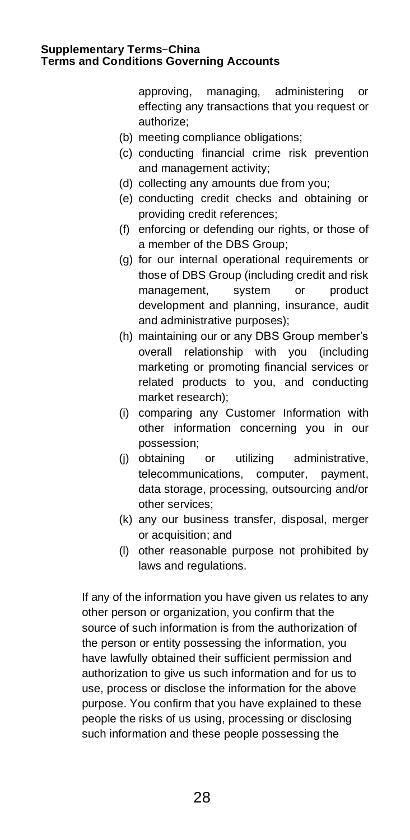approving, managing, administering or effecting any transactions that you request or authorize;

- (b) meeting compliance obligations;
- (c) conducting financial crime risk prevention and management activity;
- (d) collecting any amounts due from you;
- (e) conducting credit checks and obtaining or providing credit references;
- (f) enforcing or defending our rights, or those of a member of the DBS Group;
- (g) for our internal operational requirements or those of DBS Group (including credit and risk management, system or product development and planning, insurance, audit and administrative purposes);
- (h) maintaining our or any DBS Group member's overall relationship with you (including marketing or promoting financial services or related products to you, and conducting market research);
- (i) comparing any Customer Information with other information concerning you in our possession;
- (j) obtaining or utilizing administrative, telecommunications, computer, payment, data storage, processing, outsourcing and/or other services;
- (k) any our business transfer, disposal, merger or acquisition; and
- (l) other reasonable purpose not prohibited by laws and regulations.

If any of the information you have given us relates to any other person or organization, you confirm that the source of such information is from the authorization of the person or entity possessing the information, you have lawfully obtained their sufficient permission and authorization to give us such information and for us to use, process or disclose the information for the above purpose. You confirm that you have explained to these people the risks of us using, processing or disclosing such information and these people possessing the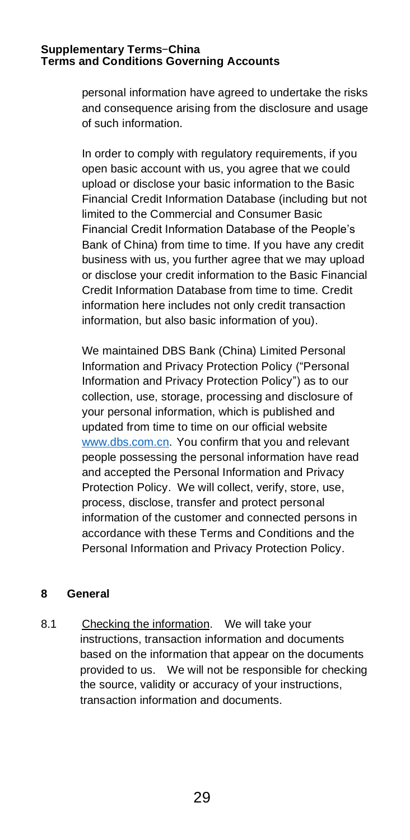personal information have agreed to undertake the risks and consequence arising from the disclosure and usage of such information.

In order to comply with regulatory requirements, if you open basic account with us, you agree that we could upload or disclose your basic information to the Basic Financial Credit Information Database (including but not limited to the Commercial and Consumer Basic Financial Credit Information Database of the People's Bank of China) from time to time. If you have any credit business with us, you further agree that we may upload or disclose your credit information to the Basic Financial Credit Information Database from time to time. Credit information here includes not only credit transaction information, but also basic information of you).

We maintained DBS Bank (China) Limited Personal Information and Privacy Protection Policy ("Personal Information and Privacy Protection Policy") as to our collection, use, storage, processing and disclosure of your personal information, which is published and updated from time to time on our official website [www.dbs.com.cn.](http://www.dbs.com.cn/) You confirm that you and relevant people possessing the personal information have read and accepted the Personal Information and Privacy Protection Policy. We will collect, verify, store, use, process, disclose, transfer and protect personal information of the customer and connected persons in accordance with these Terms and Conditions and the Personal Information and Privacy Protection Policy.

## **8 General**

8.1 Checking the information. We will take your instructions, transaction information and documents based on the information that appear on the documents provided to us. We will not be responsible for checking the source, validity or accuracy of your instructions, transaction information and documents.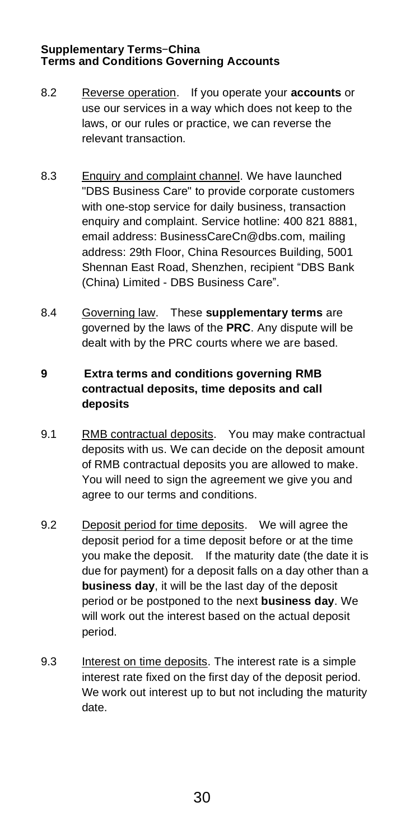- 8.2 Reverse operation. If you operate your **accounts** or use our services in a way which does not keep to the laws, or our rules or practice, we can reverse the relevant transaction.
- 8.3 Enquiry and complaint channel. We have launched "DBS Business Care" to provide corporate customers with one-stop service for daily business, transaction enquiry and complaint. Service hotline: 400 821 8881, email address: BusinessCareCn@dbs.com, mailing address: 29th Floor, China Resources Building, 5001 Shennan East Road, Shenzhen, recipient "DBS Bank (China) Limited - DBS Business Care".
- 8.4 Governing law. These **supplementary terms** are governed by the laws of the **PRC**. Any dispute will be dealt with by the PRC courts where we are based.

# **9 Extra terms and conditions governing RMB contractual deposits, time deposits and call deposits**

- 9.1 RMB contractual deposits. You may make contractual deposits with us. We can decide on the deposit amount of RMB contractual deposits you are allowed to make. You will need to sign the agreement we give you and agree to our terms and conditions.
- 9.2 Deposit period for time deposits. We will agree the deposit period for a time deposit before or at the time you make the deposit. If the maturity date (the date it is due for payment) for a deposit falls on a day other than a **business day**, it will be the last day of the deposit period or be postponed to the next **business day**. We will work out the interest based on the actual deposit period.
- 9.3 Interest on time deposits. The interest rate is a simple interest rate fixed on the first day of the deposit period. We work out interest up to but not including the maturity date.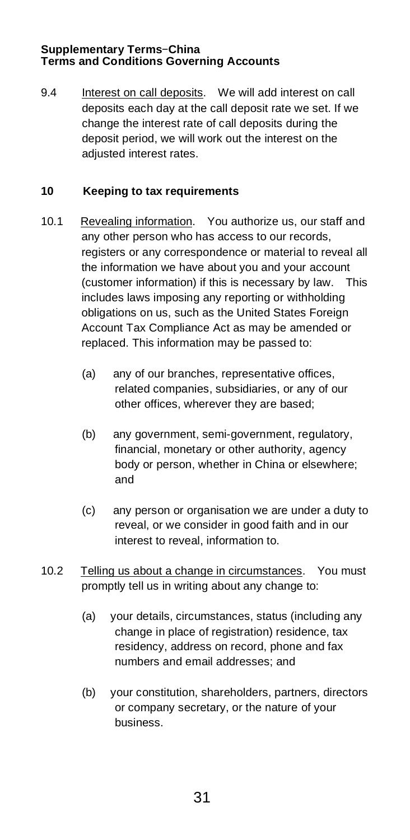9.4 Interest on call deposits. We will add interest on call deposits each day at the call deposit rate we set. If we change the interest rate of call deposits during the deposit period, we will work out the interest on the adiusted interest rates.

# **10 Keeping to tax requirements**

- 10.1 Revealing information. You authorize us, our staff and any other person who has access to our records, registers or any correspondence or material to reveal all the information we have about you and your account (customer information) if this is necessary by law. This includes laws imposing any reporting or withholding obligations on us, such as the United States Foreign Account Tax Compliance Act as may be amended or replaced. This information may be passed to:
	- (a) any of our branches, representative offices, related companies, subsidiaries, or any of our other offices, wherever they are based;
	- (b) any government, semi-government, regulatory, financial, monetary or other authority, agency body or person, whether in China or elsewhere; and
	- (c) any person or organisation we are under a duty to reveal, or we consider in good faith and in our interest to reveal, information to.
- 10.2 Telling us about a change in circumstances. You must promptly tell us in writing about any change to:
	- (a) your details, circumstances, status (including any change in place of registration) residence, tax residency, address on record, phone and fax numbers and email addresses; and
	- (b) your constitution, shareholders, partners, directors or company secretary, or the nature of your business.